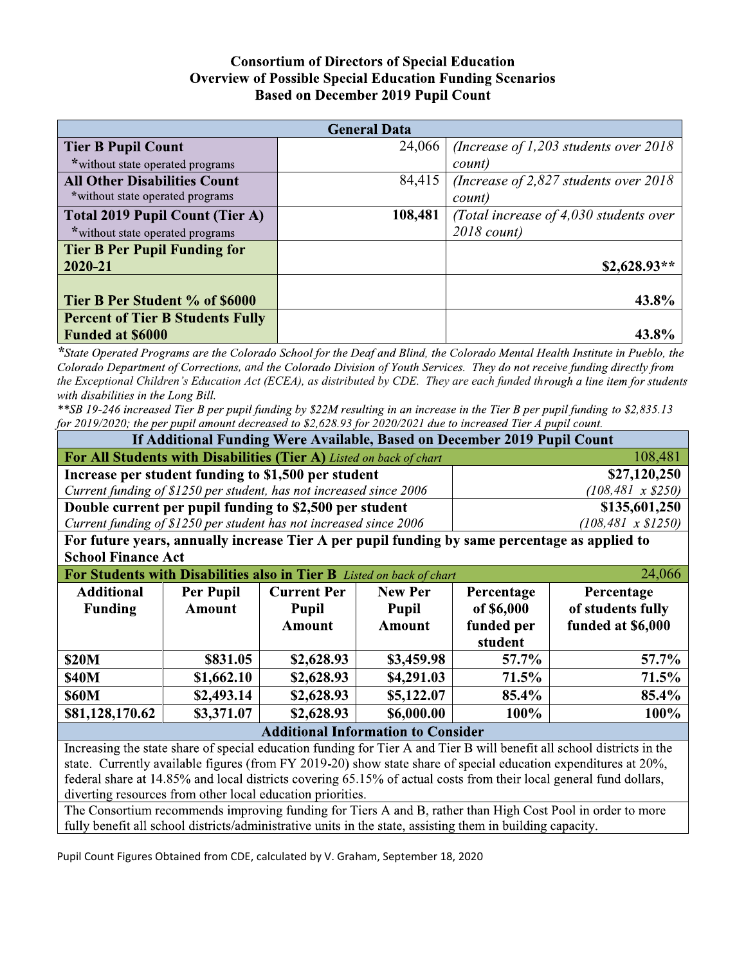## **Consortium of Directors of Special Education Overview of Possible Special Education Funding Scenarios Based on December 2019 Pupil Count**

| <b>General Data</b>                     |         |                                        |  |  |  |  |
|-----------------------------------------|---------|----------------------------------------|--|--|--|--|
| <b>Tier B Pupil Count</b>               | 24,066  | (Increase of 1,203 students over 2018) |  |  |  |  |
| *without state operated programs        |         | count)                                 |  |  |  |  |
| <b>All Other Disabilities Count</b>     | 84,415  | (Increase of 2,827 students over 2018) |  |  |  |  |
| *without state operated programs        |         | count)                                 |  |  |  |  |
| <b>Total 2019 Pupil Count (Tier A)</b>  | 108,481 | (Total increase of 4,030 students over |  |  |  |  |
| *without state operated programs        |         | $2018$ count)                          |  |  |  |  |
| <b>Tier B Per Pupil Funding for</b>     |         |                                        |  |  |  |  |
| 2020-21                                 |         | $$2,628.93**$                          |  |  |  |  |
|                                         |         |                                        |  |  |  |  |
| Tier B Per Student % of \$6000          |         | 43.8%                                  |  |  |  |  |
| <b>Percent of Tier B Students Fully</b> |         |                                        |  |  |  |  |
| <b>Funded at \$6000</b>                 |         | 43.8%                                  |  |  |  |  |

\*State Operated Programs are the Colorado School for the Deaf and Blind, the Colorado Mental Health Institute in Pueblo, the Colorado Department of Corrections, and the Colorado Division of Youth Services. They do not receive funding directly from the Exceptional Children's Education Act (ECEA), as distributed by CDE. They are each funded through a line item for students with disabilities in the Long Bill.

\*\*SB 19-246 increased Tier B per pupil funding by \$22M resulting in an increase in the Tier B per pupil funding to \$2,835.13 for 2019/2020; the per pupil amount decreased to \$2,628.93 for 2020/2021 due to increased Tier A pupil count.

| If Additional Funding Were Available, Based on December 2019 Pupil Count                                               |               |                    |                |                           |                   |  |  |
|------------------------------------------------------------------------------------------------------------------------|---------------|--------------------|----------------|---------------------------|-------------------|--|--|
| For All Students with Disabilities (Tier A) Listed on back of chart<br>108,481                                         |               |                    |                |                           |                   |  |  |
| Increase per student funding to \$1,500 per student                                                                    |               |                    |                | \$27,120,250              |                   |  |  |
| Current funding of \$1250 per student, has not increased since 2006                                                    |               |                    |                | $(108, 481 \times $250)$  |                   |  |  |
| Double current per pupil funding to \$2,500 per student                                                                |               |                    |                | \$135,601,250             |                   |  |  |
| Current funding of \$1250 per student has not increased since 2006                                                     |               |                    |                | $(108, 481 \times $1250)$ |                   |  |  |
| For future years, annually increase Tier A per pupil funding by same percentage as applied to                          |               |                    |                |                           |                   |  |  |
| <b>School Finance Act</b>                                                                                              |               |                    |                |                           |                   |  |  |
| For Students with Disabilities also in Tier B Listed on back of chart<br>24,066                                        |               |                    |                |                           |                   |  |  |
| <b>Additional</b>                                                                                                      | Per Pupil     | <b>Current Per</b> | <b>New Per</b> | Percentage                | Percentage        |  |  |
| <b>Funding</b>                                                                                                         | <b>Amount</b> | <b>Pupil</b>       | <b>Pupil</b>   | of \$6,000                | of students fully |  |  |
|                                                                                                                        |               | <b>Amount</b>      | <b>Amount</b>  | funded per                | funded at \$6,000 |  |  |
|                                                                                                                        |               |                    |                | student                   |                   |  |  |
| <b>\$20M</b>                                                                                                           | \$831.05      | \$2,628.93         | \$3,459.98     | 57.7%                     | 57.7%             |  |  |
| <b>\$40M</b>                                                                                                           | \$1,662.10    | \$2,628.93         | \$4,291.03     | 71.5%                     | 71.5%             |  |  |
| <b>\$60M</b>                                                                                                           | \$2,493.14    | \$2,628.93         | \$5,122.07     | 85.4%                     | 85.4%             |  |  |
| \$81,128,170.62                                                                                                        | \$3,371.07    | \$2,628.93         | \$6,000.00     | $100\%$                   | 100%              |  |  |
| <b>Additional Information to Consider</b>                                                                              |               |                    |                |                           |                   |  |  |
| Increasing the state share of special education funding for Tier A and Tier B will benefit all school districts in the |               |                    |                |                           |                   |  |  |

state. Currently available figures (from FY 2019-20) show state share of special education expenditures at 20%, federal share at 14.85% and local districts covering 65.15% of actual costs from their local general fund dollars, diverting resources from other local education priorities.

The Consortium recommends improving funding for Tiers A and B, rather than High Cost Pool in order to more fully benefit all school districts/administrative units in the state, assisting them in building capacity.

Pupil Count Figures Obtained from CDE, calculated by V. Graham, September 18, 2020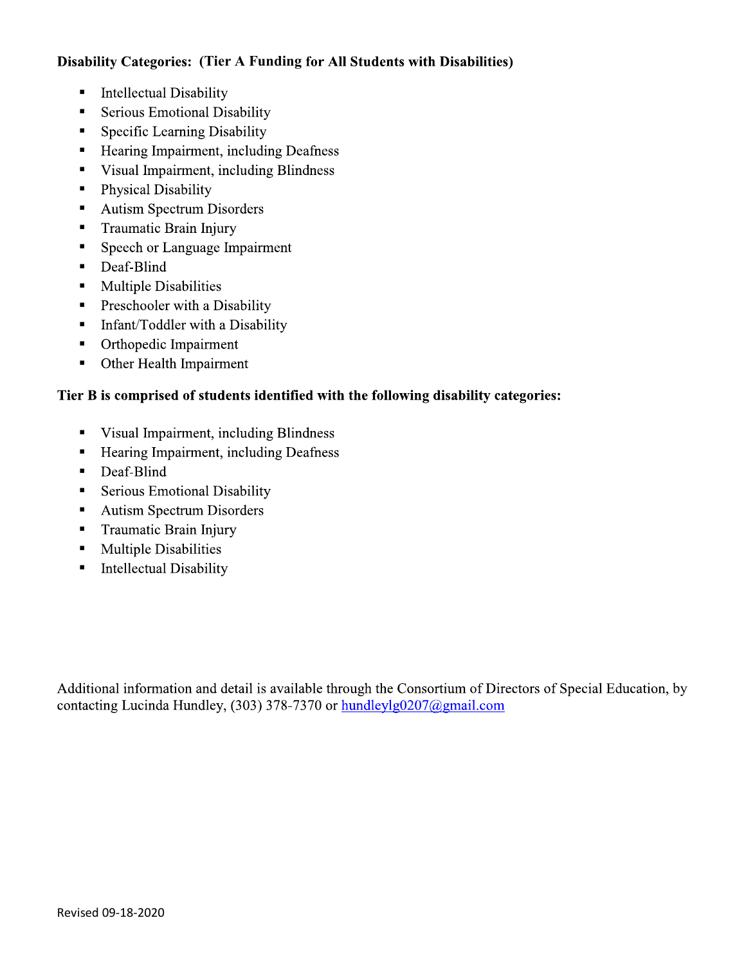## **Disability Categories: (Tier A Funding for All Students with Disabilities)**

- ß **Intellectual Disability**
- ß **Serious Emotional Disability**
- Specific Learning Disability ß
- ß Hearing Impairment, including Deafness
- Visual Impairment, including Blindness ß
- ß **Physical Disability**
- **Autism Spectrum Disorders** ß
- ß Traumatic Brain Injury
- Speech or Language Impairment ß
- ß Deaf-Blind
- **Multiple Disabilities** ß
- Preschooler with a Disability ß
- ß Infant/Toddler with a Disability
- ß Orthopedic Impairment
- Other Health Impairment ß

## Tier B is comprised of students identified with the following disability categories:

- Visual Impairment, including Blindness ß
- Hearing Impairment, including Deafness ß
- ß Deaf-Blind
- ß **Serious Emotional Disability**
- **Autism Spectrum Disorders** ß
- ß Traumatic Brain Injury
- ß **Multiple Disabilities**
- ß **Intellectual Disability**

Additional information and detail is available through the Consortium of Directors of Special Education, by contacting Lucinda Hundley, (303) 378-7370 or hundleylg0207@gmail.com